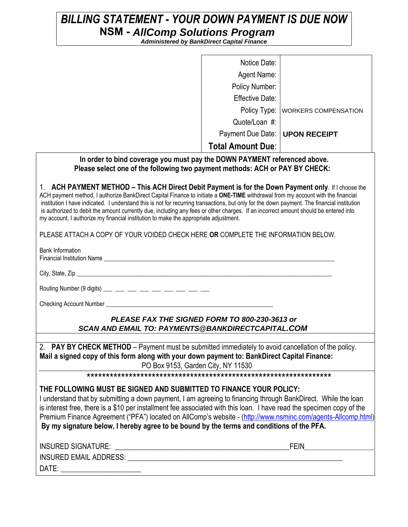# *BILLING STATEMENT - YOUR DOWN PAYMENT IS DUE NOW AllComp Solutions Program*

| NSM - AllComp Solutions Program                                     | <b>Administered by BankDirect Capital Finance</b> |                                     |
|---------------------------------------------------------------------|---------------------------------------------------|-------------------------------------|
|                                                                     |                                                   |                                     |
|                                                                     | Notice Date:                                      |                                     |
|                                                                     | Agent Name:                                       |                                     |
|                                                                     | Policy Number:                                    |                                     |
|                                                                     | Effective Date:                                   |                                     |
|                                                                     |                                                   | Policy Type:   WORKERS COMPENSATION |
|                                                                     | Quote/Loan #:                                     |                                     |
|                                                                     | Payment Due Date:   UPON RECEIPT                  |                                     |
|                                                                     | <b>Total Amount Due:</b>                          |                                     |
| er to bind coverage you must pay the DOWN PAYMENT referenced above. |                                                   |                                     |

### In order to bind coverage you must  **Please select one of the following two payment methods: ACH or PAY BY CHECK:**

1. **ACH PAYMENT METHOD – This ACH Direct Debit Payment is for the Down Payment only**. If I choose the ACH payment method, I authorize BankDirect Capital Finance to initiate a **ONE-TIME** withdrawal from my account with the financial institution I have indicated. I understand this is not for recurring transactions, but only for the down payment. The financial institution is authorized to debit the amount currently due, including any fees or other charges. If an incorrect amount should be entered into my account, I authorize my financial institution to make the appropriate adjustment.

PLEASE ATTACH A COPY OF YOUR VOIDED CHECK HERE **OR** COMPLETE THE INFORMATION BELOW.

Bank Information

Financial Institution Name **Example 20** and the state of the state of the state of the state of the state of the state of the state of the state of the state of the state of the state of the state of the state of the state

City, State, Zip

Routing Number (9 digits) \_\_\_ \_\_ \_\_ \_\_ \_\_ \_\_ \_\_ \_\_ \_\_ \_\_ \_\_

Checking Account Number

## *PLEASE FAX THE SIGNED FORM TO 800-230-3613 or SCAN AND EMAIL TO: PAYMENTS@BANKDIRECTCAPITAL.COM*

2. **PAY BY CHECK METHOD** – Payment must be submitted immediately to avoid cancellation of the policy. **Mail a signed copy of this form along with your down payment to: BankDirect Capital Finance:** PO Box 9153, Garden City, NY 11530

\*\*\*\*\*\*\*\*\*\*\*\*\*\*\*\*\*\*\*\*\*\*\*\*\*\*\*\*\*\*\*\*\*\*\*\*\*\*\*\*\*\*\*\*\*\*\*\*\*\*\*\*\*\*\*\*\*\*\*\*\*\*\*\*

### **THE FOLLOWING MUST BE SIGNED AND SUBMITTED TO FINANCE YOUR POLICY:**

I understand that by submitting a down payment, I am agreeing to financing through BankDirect. While the loan is interest free, there is a \$10 per installment fee associated with this loan. I have read the specimen copy of the Premium Finance Agreement ("PFA") located on AllComp's website - [\(http://www.nsminc.com/agents-Allcomp.html\)](http://www.nsminc.com/agents-Allcomp.html) **By my signature below, I hereby agree to be bound by the terms and conditions of the PFA.** 

| <b>INSURED SIGNATURE:</b>     | FFIN |  |
|-------------------------------|------|--|
| <b>INSURED EMAIL ADDRESS:</b> |      |  |
| DATE:                         |      |  |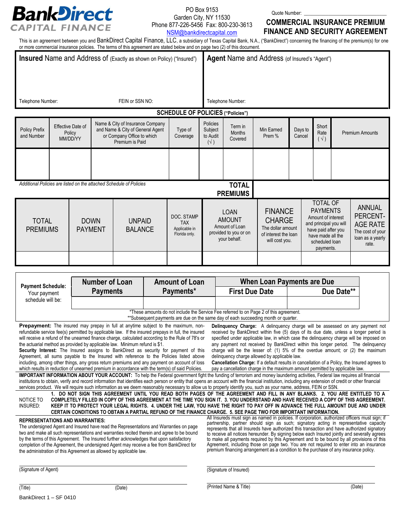

#### PO Box 9153 Garden City, NY 11530 Phone 877-226-5456 Fax: 800-230-3613 [NSM@bankdirectcapital.com](mailto:NSM@bankdirectcapital.com)

Quote Number:

# **COMMERCIAL INSURANCE PREMIUM FINANCE AND SECURITY AGREEMENT**

This is an agreement between you and BankDirect Capital Finance, LLC, a subsidiary of Texas Capital Bank, N.A., ("BankDirect") concerning the financing of the premium(s) for one or more commercial insurance policies. The terms of this agreement are stated below and on page two (2) of this document.

| Insured Name and Address of (Exactly as shown on Policy) ("Insured") |  |                                         |  | Agent Name and Address (of Insured's "Agent")                                                                         |                                                            |                                                 |                                                                                         |                      |                                                                                                                                                                                                                                                                 |                               |                                                                                               |                        |
|----------------------------------------------------------------------|--|-----------------------------------------|--|-----------------------------------------------------------------------------------------------------------------------|------------------------------------------------------------|-------------------------------------------------|-----------------------------------------------------------------------------------------|----------------------|-----------------------------------------------------------------------------------------------------------------------------------------------------------------------------------------------------------------------------------------------------------------|-------------------------------|-----------------------------------------------------------------------------------------------|------------------------|
|                                                                      |  |                                         |  |                                                                                                                       |                                                            |                                                 |                                                                                         |                      |                                                                                                                                                                                                                                                                 |                               |                                                                                               |                        |
| Telephone Number:                                                    |  |                                         |  | FEIN or SSN NO:                                                                                                       |                                                            | Telephone Number:                               |                                                                                         |                      |                                                                                                                                                                                                                                                                 |                               |                                                                                               |                        |
|                                                                      |  |                                         |  |                                                                                                                       | <b>SCHEDULE OF POLICIES ("Policies")</b>                   |                                                 |                                                                                         |                      |                                                                                                                                                                                                                                                                 |                               |                                                                                               |                        |
| Policy Prefix<br>and Number                                          |  | Effective Date of<br>Policy<br>MM/DD/YY |  | Name & City of Insurance Company<br>and Name & City of General Agent<br>or Company Office to which<br>Premium is Paid | Type of<br>Coverage                                        | Policies<br>Subject<br>to Audit<br>$(\sqrt{2})$ | Term in<br><b>Months</b><br>Covered                                                     | Min Earned<br>Prem % | Days to<br>Cancel                                                                                                                                                                                                                                               | Short<br>Rate<br>$(\sqrt{2})$ |                                                                                               | <b>Premium Amounts</b> |
|                                                                      |  |                                         |  |                                                                                                                       |                                                            |                                                 |                                                                                         |                      |                                                                                                                                                                                                                                                                 |                               |                                                                                               |                        |
| Additional Policies are listed on the attached Schedule of Policies  |  |                                         |  |                                                                                                                       |                                                            |                                                 | <b>TOTAL</b><br><b>PREMIUMS</b>                                                         |                      |                                                                                                                                                                                                                                                                 |                               |                                                                                               |                        |
| <b>TOTAL</b><br><b>PREMIUMS</b>                                      |  | <b>DOWN</b><br><b>PAYMENT</b>           |  | <b>UNPAID</b><br><b>BALANCE</b>                                                                                       | DOC. STAMP<br><b>TAX</b><br>Applicable in<br>Florida only. |                                                 | <b>LOAN</b><br><b>AMOUNT</b><br>Amount of Loan<br>provided to you or on<br>your behalf. |                      | <b>TOTAL OF</b><br><b>PAYMENTS</b><br><b>FINANCE</b><br>Amount of interest<br><b>CHARGE</b><br>and principal you will<br>The dollar amount<br>have paid after you<br>of interest the loan<br>have made all the<br>will cost you.<br>scheduled loan<br>payments. |                               | <b>ANNUAL</b><br>PERCENT-<br><b>AGE RATE</b><br>The cost of your<br>loan as a yearly<br>rate. |                        |
|                                                                      |  |                                         |  |                                                                                                                       |                                                            |                                                 |                                                                                         |                      |                                                                                                                                                                                                                                                                 |                               |                                                                                               |                        |

| <b>Payment Schedule:</b>                                                                                                                                                                                                                                                                                                                                                                                                                                                                                                                                                                                                                                                                                                                                                                                                                                                                                                                                                                                                                                                                                                                                               | <b>Number of Loan</b>                                                                                                                                                                           | <b>Amount of Loan</b> |                        | <b>When Loan Payments are Due</b>                                                                                                                                                                                                                                                                                                                                                            |  |  |  |  |  |
|------------------------------------------------------------------------------------------------------------------------------------------------------------------------------------------------------------------------------------------------------------------------------------------------------------------------------------------------------------------------------------------------------------------------------------------------------------------------------------------------------------------------------------------------------------------------------------------------------------------------------------------------------------------------------------------------------------------------------------------------------------------------------------------------------------------------------------------------------------------------------------------------------------------------------------------------------------------------------------------------------------------------------------------------------------------------------------------------------------------------------------------------------------------------|-------------------------------------------------------------------------------------------------------------------------------------------------------------------------------------------------|-----------------------|------------------------|----------------------------------------------------------------------------------------------------------------------------------------------------------------------------------------------------------------------------------------------------------------------------------------------------------------------------------------------------------------------------------------------|--|--|--|--|--|
| Your payment                                                                                                                                                                                                                                                                                                                                                                                                                                                                                                                                                                                                                                                                                                                                                                                                                                                                                                                                                                                                                                                                                                                                                           | <b>Payments</b>                                                                                                                                                                                 | Payments*             | <b>First Due Date</b>  | Due Date**                                                                                                                                                                                                                                                                                                                                                                                   |  |  |  |  |  |
| schedule will be:                                                                                                                                                                                                                                                                                                                                                                                                                                                                                                                                                                                                                                                                                                                                                                                                                                                                                                                                                                                                                                                                                                                                                      |                                                                                                                                                                                                 |                       |                        |                                                                                                                                                                                                                                                                                                                                                                                              |  |  |  |  |  |
| *These amounts do not include the Service Fee referred to on Page 2 of this agreement.<br>**Subsequent payments are due on the same day of each succeeding month or quarter.                                                                                                                                                                                                                                                                                                                                                                                                                                                                                                                                                                                                                                                                                                                                                                                                                                                                                                                                                                                           |                                                                                                                                                                                                 |                       |                        |                                                                                                                                                                                                                                                                                                                                                                                              |  |  |  |  |  |
|                                                                                                                                                                                                                                                                                                                                                                                                                                                                                                                                                                                                                                                                                                                                                                                                                                                                                                                                                                                                                                                                                                                                                                        | <b>Prepayment:</b> The insured may prepay in full at anytime subject to the maximum, non-<br>refundable service fee(s) permitted by applicable law. If the insured prepays in full, the insured |                       |                        | <b>Delinguency Charge:</b> A delinguency charge will be assessed on any payment not<br>received by BankDirect within five (5) days of its due date, unless a longer period is                                                                                                                                                                                                                |  |  |  |  |  |
| will receive a refund of the unearned finance charge, calculated according to the Rule of 78's or<br>specified under applicable law, in which case the delinguency charge will be imposed on<br>the actuarial method as provided by applicable law. Minimum refund is \$1.<br>any payment not received by BankDirect within this longer period. The delinguency                                                                                                                                                                                                                                                                                                                                                                                                                                                                                                                                                                                                                                                                                                                                                                                                        |                                                                                                                                                                                                 |                       |                        |                                                                                                                                                                                                                                                                                                                                                                                              |  |  |  |  |  |
| charge will be the lesser of: (1) 5% of the overdue amount; or (2) the maximum<br>Security Interest: The Insured assigns to BankDirect as security for payment of this                                                                                                                                                                                                                                                                                                                                                                                                                                                                                                                                                                                                                                                                                                                                                                                                                                                                                                                                                                                                 |                                                                                                                                                                                                 |                       |                        |                                                                                                                                                                                                                                                                                                                                                                                              |  |  |  |  |  |
| Agreement, all sums payable to the Insured with reference to the Policies listed above<br>delinquency charge allowed by applicable law.<br>Cancellation Charge: If a default results in cancellation of a Policy, the Insured agrees to<br>including, among other things, any gross return premiums and any payment on account of loss<br>which results in reduction of unearned premium in accordance with the term(s) of said Policies.<br>pay a cancellation charge in the maximum amount permitted by applicable law.                                                                                                                                                                                                                                                                                                                                                                                                                                                                                                                                                                                                                                              |                                                                                                                                                                                                 |                       |                        |                                                                                                                                                                                                                                                                                                                                                                                              |  |  |  |  |  |
|                                                                                                                                                                                                                                                                                                                                                                                                                                                                                                                                                                                                                                                                                                                                                                                                                                                                                                                                                                                                                                                                                                                                                                        |                                                                                                                                                                                                 |                       |                        | <b>IMPORTANT INFORMATION ABOUT YOUR ACCOUNT:</b> To help the Federal government fight the funding of terrorism and money laundering activities. Federal law requires all financial<br>institutions to obtain, verify and record information that identifies each person or entity that opens an account with the financial institution, including any extension of credit or other financial |  |  |  |  |  |
| services product. We will require such information as we deem reasonably necessary to allow us to properly identify you, such as your name, address, FEIN or SSN.<br>1. DO NOT SIGN THIS AGREEMENT UNTIL YOU READ BOTH PAGES OF THE AGREEMENT AND FILL IN ANY BLANKS. 2. YOU ARE ENTITLED TO A<br>NOTICE TO<br>COMPLETELY FILLED IN COPY OF THIS AGREEMENT AT THE TIME YOU SIGN IT. 3. YOU UNDERSTAND AND HAVE RECEIVED A COPY OF THIS AGREEMENT.<br><b>INSURED:</b><br>KEEP IT TO PROTECT YOUR LEGAL RIGHTS. 4. UNDER THE LAW, YOU HAVE THE RIGHT TO PAY OFF IN ADVANCE THE FULL AMOUNT DUE AND UNDER<br>CERTAIN CONDITIONS TO OBTAIN A PARTIAL REFUND OF THE FINANCE CHARGE. 5. SEE PAGE TWO FOR IMPORTANT INFORMATION.                                                                                                                                                                                                                                                                                                                                                                                                                                              |                                                                                                                                                                                                 |                       |                        |                                                                                                                                                                                                                                                                                                                                                                                              |  |  |  |  |  |
| All Insureds must sign as named in policies. If corporation, authorized officers must sign; if<br><b>REPRESENTATIONS AND WARRANTIES:</b><br>partnership, partner should sign as such; signatory acting in representative capacity<br>The undersigned Agent and Insured have read the Representations and Warranties on page<br>represents that all insureds have authorized this transaction and have authorized signatory<br>two and make all such representations and warranties recited therein and agree to be bound<br>to receive all notices hereunder. By signing below each Insured jointly and severally agrees<br>by the terms of this Agreement. The Insured further acknowledges that upon satisfactory<br>to make all payments required by this Agreement and to be bound by all provisions of this<br>Agreement, including those on page two. You are not required to enter into an insurance<br>completion of the Agreement, the undersigned Agent may receive a fee from BankDirect for<br>premium financing arrangement as a condition to the purchase of any insurance policy.<br>the administration of this Agreement as allowed by applicable law. |                                                                                                                                                                                                 |                       |                        |                                                                                                                                                                                                                                                                                                                                                                                              |  |  |  |  |  |
| (Signature of Agent)                                                                                                                                                                                                                                                                                                                                                                                                                                                                                                                                                                                                                                                                                                                                                                                                                                                                                                                                                                                                                                                                                                                                                   |                                                                                                                                                                                                 |                       | (Signature of Insured) |                                                                                                                                                                                                                                                                                                                                                                                              |  |  |  |  |  |
| (Title)                                                                                                                                                                                                                                                                                                                                                                                                                                                                                                                                                                                                                                                                                                                                                                                                                                                                                                                                                                                                                                                                                                                                                                | (Date)                                                                                                                                                                                          |                       | (Printed Name & Title) | (Date)                                                                                                                                                                                                                                                                                                                                                                                       |  |  |  |  |  |
| BankDirect 1 - SF 0410                                                                                                                                                                                                                                                                                                                                                                                                                                                                                                                                                                                                                                                                                                                                                                                                                                                                                                                                                                                                                                                                                                                                                 |                                                                                                                                                                                                 |                       |                        |                                                                                                                                                                                                                                                                                                                                                                                              |  |  |  |  |  |